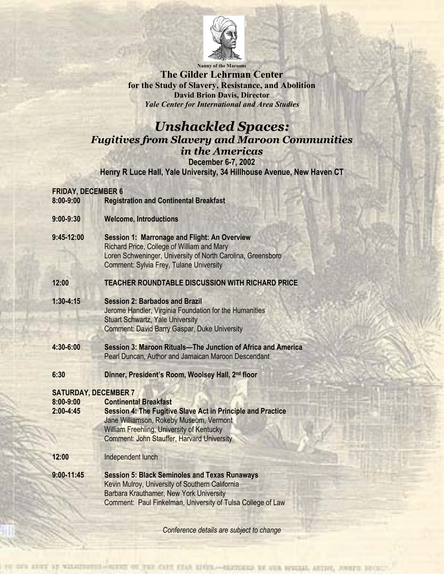

**Nanny of the Maroons** 

**The Gilder Lehrman Center for the Study of Slavery, Resistance, and Abolition David Brion Davis, Director**  *Yale Center for International and Area Studies*

# *Unshackled Spaces: Fugitives from Slavery and Maroon Communities in the Americas* **December 6-7, 2002**

**Henry R Luce Hall, Yale University, 34 Hillhouse Avenue, New Haven CT** 

#### **FRIDAY, DECEMBER 6**

**8:00-9:00 Registration and Continental Breakfast** 

- **9:00-9:30 Welcome, Introductions**
- **9:45-12:00 Session 1: Marronage and Flight: An Overview** Richard Price, College of William and Mary Loren Schweninger, University of North Carolina, Greensboro Comment: Sylvia Frey, Tulane University

## **12:00 TEACHER ROUNDTABLE DISCUSSION WITH RICHARD PRICE**

- **1:30-4:15 Session 2: Barbados and Brazil**  Jerome Handler, Virginia Foundation for the Humanities Stuart Schwartz, Yale University Comment: David Barry Gaspar, Duke University
- **4:30-6:00 Session 3: Maroon Rituals—The Junction of Africa and America**  Pearl Duncan, Author and Jamaican Maroon Descendant
- **6:30 Dinner, President's Room, Woolsey Hall, 2nd floor**

# **SATURDAY, DECEMBER 7**

| 8:00-9:00 | <b>Continental Breakfast</b>                                       |
|-----------|--------------------------------------------------------------------|
| 2:00-4:45 | <b>Session 4: The Fugitive Slave Act in Principle and Practice</b> |
|           | Jane Williamson, Rokeby Museum, Vermont                            |
|           | William Freehling, University of Kentucky                          |
|           | <b>Comment: John Stauffer, Harvard University</b>                  |

**12:00** Independent lunch

**9:00-11:45 Session 5: Black Seminoles and Texas Runaways** Kevin Mulroy, University of Southern California Barbara Krauthamer, New York University Comment: Paul Finkelman, University of Tulsa College of Law

*Conference details are subject to change*

10'S ARMY by WILHINDENS-WEIGHT ON THE CAPE KEAR HISTS .- GERMAND BY OUR REVOLUT, ARTIFI, AWAYE BEY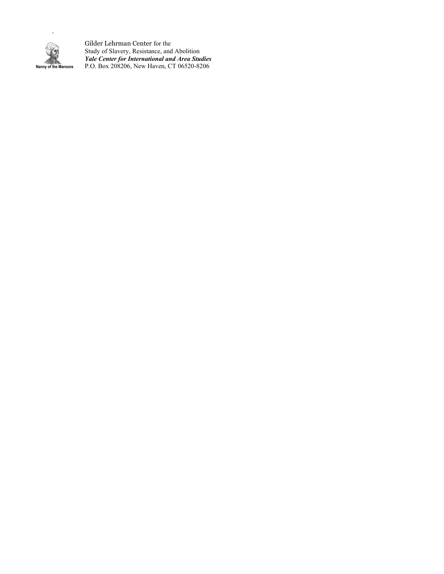

*.* 

Gilder Lehrman Center for the Study of Slavery, Resistance, and Abolition *Yale Center for International and Area Studies*  **Nanny of the Maroons** P.O. Box 208206, New Haven, CT 06520-8206